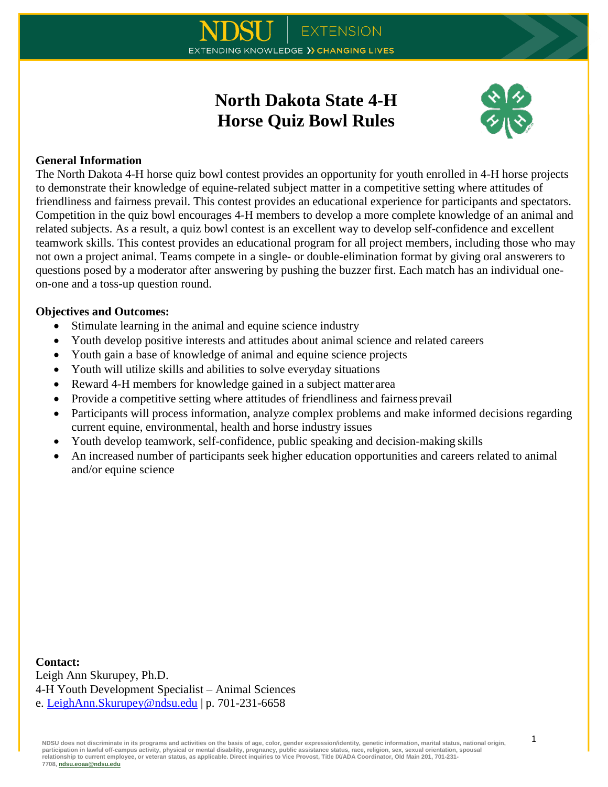# **North Dakota State 4-H Horse Quiz Bowl Rules**



### **General Information**

The North Dakota 4-H horse quiz bowl contest provides an opportunity for youth enrolled in 4-H horse projects to demonstrate their knowledge of equine-related subject matter in a competitive setting where attitudes of friendliness and fairness prevail. This contest provides an educational experience for participants and spectators. Competition in the quiz bowl encourages 4-H members to develop a more complete knowledge of an animal and related subjects. As a result, a quiz bowl contest is an excellent way to develop self-confidence and excellent teamwork skills. This contest provides an educational program for all project members, including those who may not own a project animal. Teams compete in a single- or double-elimination format by giving oral answerers to questions posed by a moderator after answering by pushing the buzzer first. Each match has an individual oneon-one and a toss-up question round.

#### **Objectives and Outcomes:**

- Stimulate learning in the animal and equine science industry
- Youth develop positive interests and attitudes about animal science and related careers
- Youth gain a base of knowledge of animal and equine science projects
- Youth will utilize skills and abilities to solve everyday situations
- Reward 4-H members for knowledge gained in a subject matter area
- Provide a competitive setting where attitudes of friendliness and fairness prevail
- Participants will process information, analyze complex problems and make informed decisions regarding current equine, environmental, health and horse industry issues
- Youth develop teamwork, self-confidence, public speaking and decision-making skills
- An increased number of participants seek higher education opportunities and careers related to animal and/or equine science

**Contact:** Leigh Ann Skurupey, Ph.D. 4-H Youth Development Specialist – Animal Sciences e. [LeighAnn.Skurupey@ndsu.edu](mailto:LeighAnn.Skurupey@ndsu.edu) | p. 701-231-6658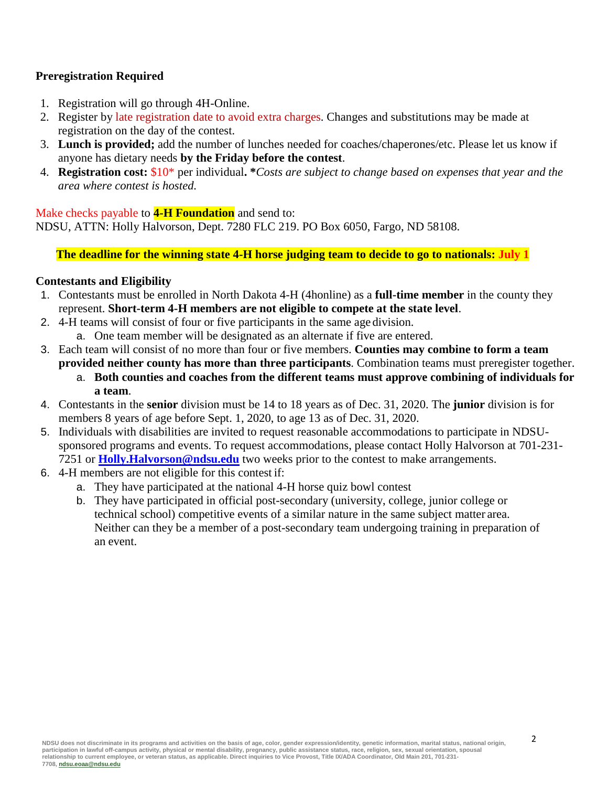# **Preregistration Required**

- 1. Registration will go through 4H-Online.
- 2. Register by late registration date to avoid extra charges. Changes and substitutions may be made at registration on the day of the contest.
- 3. **Lunch is provided;** add the number of lunches needed for coaches/chaperones/etc. Please let us know if anyone has dietary needs **by the Friday before the contest**.
- 4. **Registration cost:** \$10\* per individual**. \****Costs are subject to change based on expenses that year and the area where contest is hosted.*

Make checks payable to **4-H Foundation** and send to:

NDSU, ATTN: Holly Halvorson, Dept. 7280 FLC 219. PO Box 6050, Fargo, ND 58108.

**The deadline for the winning state 4-H horse judging team to decide to go to nationals: July 1**

## **Contestants and Eligibility**

- 1. Contestants must be enrolled in North Dakota 4-H (4honline) as a **full-time member** in the county they represent. **Short-term 4-H members are not eligible to compete at the state level**.
- 2. 4-H teams will consist of four or five participants in the same age division.
	- a. One team member will be designated as an alternate if five are entered.
- 3. Each team will consist of no more than four or five members. **Counties may combine to form a team provided neither county has more than three participants**. Combination teams must preregister together.
	- a. **Both counties and coaches from the different teams must approve combining of individuals for a team**.
- 4. Contestants in the **senior** division must be 14 to 18 years as of Dec. 31, 2020. The **junior** division is for members 8 years of age before Sept. 1, 2020, to age 13 as of Dec. 31, 2020.
- 5. Individuals with disabilities are invited to request reasonable accommodations to participate in NDSUsponsored programs and events. To request accommodations, please contact Holly Halvorson at 701-231- 7251 or **[Holly.Halvorson@ndsu.edu](mailto:Holly.Halvorson@ndsu.edu)** two weeks prior to the contest to make arrangements.
- 6. 4-H members are not eligible for this contest if:
	- a. They have participated at the national 4-H horse quiz bowl contest
	- b. They have participated in official post-secondary (university, college, junior college or technical school) competitive events of a similar nature in the same subject matter area. Neither can they be a member of a post-secondary team undergoing training in preparation of an event.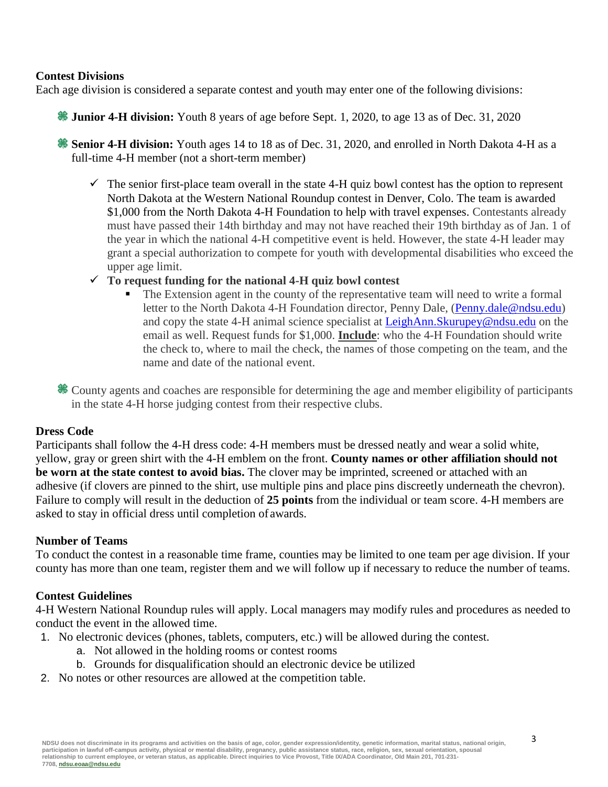#### **Contest Divisions**

Each age division is considered a separate contest and youth may enter one of the following divisions:

- **Junior 4-H division:** Youth 8 years of age before Sept. 1, 2020, to age 13 as of Dec. 31, 2020
- **Senior 4-H division:** Youth ages 14 to 18 as of Dec. 31, 2020, and enrolled in North Dakota 4-H as a full-time 4-H member (not a short-term member)
	- $\checkmark$  The senior first-place team overall in the state 4-H quiz bowl contest has the option to represent North Dakota at the Western National Roundup contest in Denver, Colo. The team is awarded \$1,000 from the North Dakota 4-H Foundation to help with travel expenses. Contestants already must have passed their 14th birthday and may not have reached their 19th birthday as of Jan. 1 of the year in which the national 4-H competitive event is held. However, the state 4-H leader may grant a special authorization to compete for youth with developmental disabilities who exceed the upper age limit.
	- **To request funding for the national 4-H quiz bowl contest**
		- The Extension agent in the county of the representative team will need to write a formal letter to the North Dakota 4-H Foundation director, Penny Dale, [\(Penny.dale@ndsu.edu\)](mailto:Penny.dale@ndsu.edu) and copy the state 4-H animal science specialist at [LeighAnn.Skurupey@ndsu.edu](mailto:LeighAnn.Skurupey@ndsu.edu) on the email as well. Request funds for \$1,000. **Include**: who the 4-H Foundation should write the check to, where to mail the check, the names of those competing on the team, and the name and date of the national event.
- County agents and coaches are responsible for determining the age and member eligibility of participants in the state 4-H horse judging contest from their respective clubs.

# **Dress Code**

Participants shall follow the 4-H dress code: 4-H members must be dressed neatly and wear a solid white, yellow, gray or green shirt with the 4-H emblem on the front. **County names or other affiliation should not be worn at the state contest to avoid bias.** The clover may be imprinted, screened or attached with an adhesive (if clovers are pinned to the shirt, use multiple pins and place pins discreetly underneath the chevron). Failure to comply will result in the deduction of **25 points** from the individual or team score. 4-H members are asked to stay in official dress until completion of awards.

# **Number of Teams**

To conduct the contest in a reasonable time frame, counties may be limited to one team per age division. If your county has more than one team, register them and we will follow up if necessary to reduce the number of teams.

# **Contest Guidelines**

4-H Western National Roundup rules will apply. Local managers may modify rules and procedures as needed to conduct the event in the allowed time.

- 1. No electronic devices (phones, tablets, computers, etc.) will be allowed during the contest.
	- a. Not allowed in the holding rooms or contest rooms
	- b. Grounds for disqualification should an electronic device be utilized
- 2. No notes or other resources are allowed at the competition table.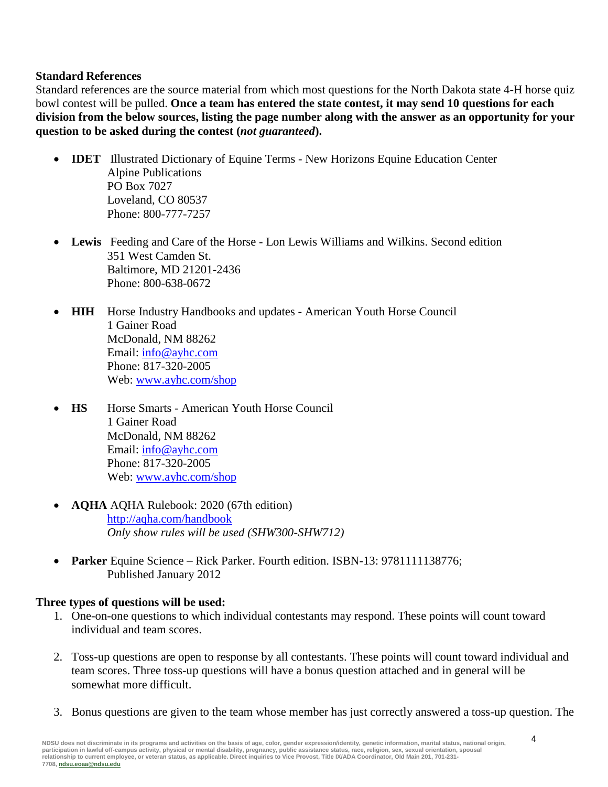### **Standard References**

Standard references are the source material from which most questions for the North Dakota state 4-H horse quiz bowl contest will be pulled. **Once a team has entered the state contest, it may send 10 questions for each division from the below sources, listing the page number along with the answer as an opportunity for your question to be asked during the contest (***not guaranteed***).**

- **IDET** Illustrated Dictionary of Equine Terms New Horizons Equine Education Center Alpine Publications PO Box 7027 Loveland, CO 80537 Phone: 800-777-7257
- **Lewis** Feeding and Care of the Horse Lon Lewis Williams and Wilkins. Second edition 351 West Camden St. Baltimore, MD 21201-2436 Phone: 800-638-0672
- **HIH** Horse Industry Handbooks and updates American Youth Horse Council 1 Gainer Road McDonald, NM 88262 Email: [info@ayhc.com](mailto:info@ayhc.com) Phone: 817-320-2005 Web: [www.ayhc.com/shop](file:///C:/Users/leighann.skurupey/AppData/Local/Microsoft/Windows/INetCache/Content.Outlook/RGWUGF3X/www.ayhc.com/shop)
- **HS** Horse Smarts American Youth Horse Council 1 Gainer Road McDonald, NM 88262 Email: [info@ayhc.com](mailto:info@ayhc.com) Phone: 817-320-2005 Web: [www.ayhc.com/shop](file:///C:/Users/leighann.skurupey/AppData/Local/Microsoft/Windows/INetCache/Content.Outlook/RGWUGF3X/www.ayhc.com/shop)
- **AQHA** AQHA Rulebook: 2020 (67th edition) <http://aqha.com/handbook> *Only show rules will be used (SHW300-SHW712)*
- **Parker** Equine Science Rick Parker. Fourth edition. ISBN-13: 9781111138776; Published January 2012

#### **Three types of questions will be used:**

- 1. One-on-one questions to which individual contestants may respond. These points will count toward individual and team scores.
- 2. Toss-up questions are open to response by all contestants. These points will count toward individual and team scores. Three toss-up questions will have a bonus question attached and in general will be somewhat more difficult.
- 3. Bonus questions are given to the team whose member has just correctly answered a toss-up question. The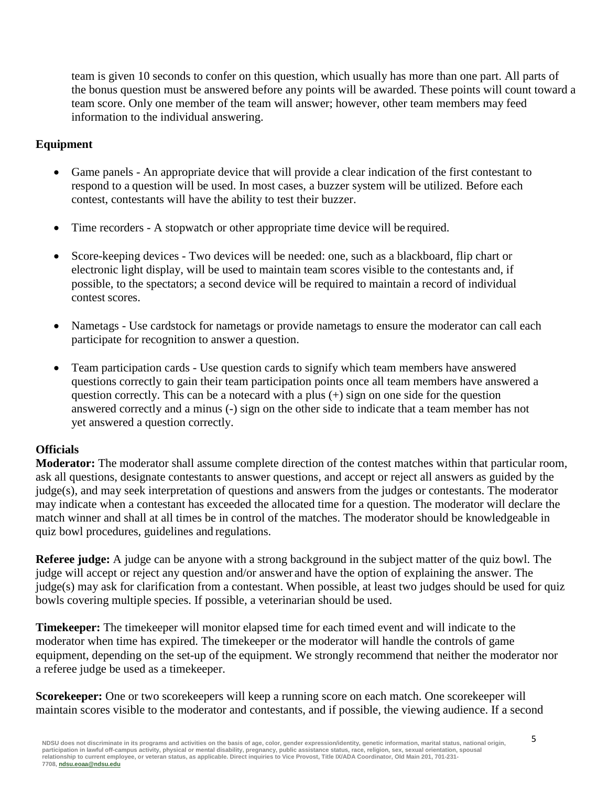team is given 10 seconds to confer on this question, which usually has more than one part. All parts of the bonus question must be answered before any points will be awarded. These points will count toward a team score. Only one member of the team will answer; however, other team members may feed information to the individual answering.

# **Equipment**

- Game panels An appropriate device that will provide a clear indication of the first contestant to respond to a question will be used. In most cases, a buzzer system will be utilized. Before each contest, contestants will have the ability to test their buzzer.
- Time recorders A stopwatch or other appropriate time device will be required.
- Score-keeping devices Two devices will be needed: one, such as a blackboard, flip chart or electronic light display, will be used to maintain team scores visible to the contestants and, if possible, to the spectators; a second device will be required to maintain a record of individual contest scores.
- Nametags Use cardstock for nametags or provide nametags to ensure the moderator can call each participate for recognition to answer a question.
- Team participation cards Use question cards to signify which team members have answered questions correctly to gain their team participation points once all team members have answered a question correctly. This can be a notecard with a plus (+) sign on one side for the question answered correctly and a minus (-) sign on the other side to indicate that a team member has not yet answered a question correctly.

#### **Officials**

**Moderator:** The moderator shall assume complete direction of the contest matches within that particular room, ask all questions, designate contestants to answer questions, and accept or reject all answers as guided by the judge(s), and may seek interpretation of questions and answers from the judges or contestants. The moderator may indicate when a contestant has exceeded the allocated time for a question. The moderator will declare the match winner and shall at all times be in control of the matches. The moderator should be knowledgeable in quiz bowl procedures, guidelines and regulations.

**Referee judge:** A judge can be anyone with a strong background in the subject matter of the quiz bowl. The judge will accept or reject any question and/or answer and have the option of explaining the answer. The judge(s) may ask for clarification from a contestant. When possible, at least two judges should be used for quiz bowls covering multiple species. If possible, a veterinarian should be used.

**Timekeeper:** The timekeeper will monitor elapsed time for each timed event and will indicate to the moderator when time has expired. The timekeeper or the moderator will handle the controls of game equipment, depending on the set-up of the equipment. We strongly recommend that neither the moderator nor a referee judge be used as a timekeeper.

**Scorekeeper:** One or two scorekeepers will keep a running score on each match. One scorekeeper will maintain scores visible to the moderator and contestants, and if possible, the viewing audience. If a second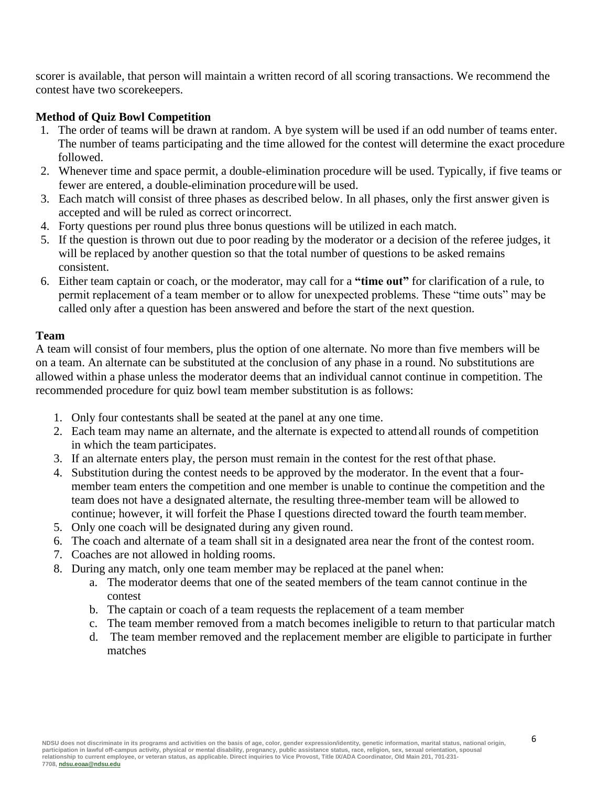scorer is available, that person will maintain a written record of all scoring transactions. We recommend the contest have two scorekeepers.

## **Method of Quiz Bowl Competition**

- 1. The order of teams will be drawn at random. A bye system will be used if an odd number of teams enter. The number of teams participating and the time allowed for the contest will determine the exact procedure followed.
- 2. Whenever time and space permit, a double-elimination procedure will be used. Typically, if five teams or fewer are entered, a double-elimination procedurewill be used.
- 3. Each match will consist of three phases as described below. In all phases, only the first answer given is accepted and will be ruled as correct orincorrect.
- 4. Forty questions per round plus three bonus questions will be utilized in each match.
- 5. If the question is thrown out due to poor reading by the moderator or a decision of the referee judges, it will be replaced by another question so that the total number of questions to be asked remains consistent.
- 6. Either team captain or coach, or the moderator, may call for a **"time out"** for clarification of a rule, to permit replacement of a team member or to allow for unexpected problems. These "time outs" may be called only after a question has been answered and before the start of the next question.

## **Team**

A team will consist of four members, plus the option of one alternate. No more than five members will be on a team. An alternate can be substituted at the conclusion of any phase in a round. No substitutions are allowed within a phase unless the moderator deems that an individual cannot continue in competition. The recommended procedure for quiz bowl team member substitution is as follows:

- 1. Only four contestants shall be seated at the panel at any one time.
- 2. Each team may name an alternate, and the alternate is expected to attend all rounds of competition in which the team participates.
- 3. If an alternate enters play, the person must remain in the contest for the rest ofthat phase.
- 4. Substitution during the contest needs to be approved by the moderator. In the event that a fourmember team enters the competition and one member is unable to continue the competition and the team does not have a designated alternate, the resulting three-member team will be allowed to continue; however, it will forfeit the Phase I questions directed toward the fourth teammember.
- 5. Only one coach will be designated during any given round.
- 6. The coach and alternate of a team shall sit in a designated area near the front of the contest room.
- 7. Coaches are not allowed in holding rooms.
- 8. During any match, only one team member may be replaced at the panel when:
	- a. The moderator deems that one of the seated members of the team cannot continue in the contest
	- b. The captain or coach of a team requests the replacement of a team member
	- c. The team member removed from a match becomes ineligible to return to that particular match
	- d. The team member removed and the replacement member are eligible to participate in further matches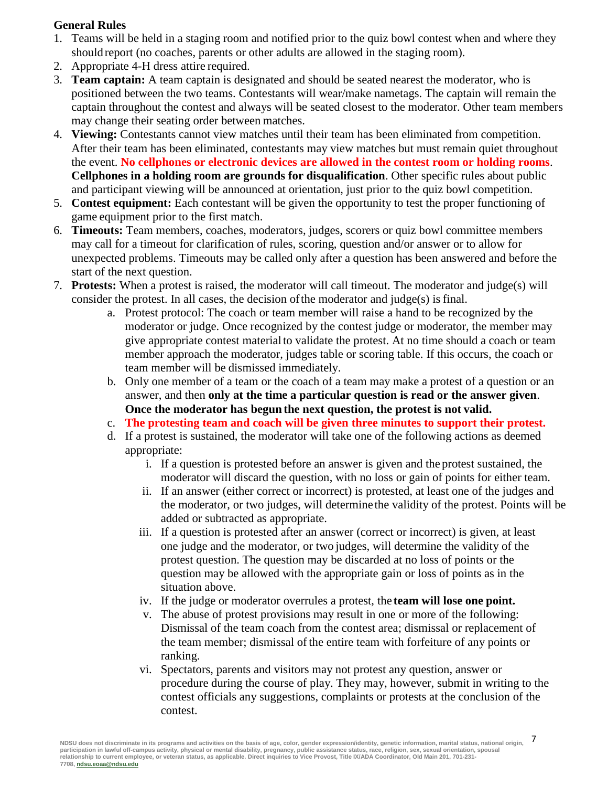# **General Rules**

- 1. Teams will be held in a staging room and notified prior to the quiz bowl contest when and where they should report (no coaches, parents or other adults are allowed in the staging room).
- 2. Appropriate 4-H dress attire required.
- 3. **Team captain:** A team captain is designated and should be seated nearest the moderator, who is positioned between the two teams. Contestants will wear/make nametags. The captain will remain the captain throughout the contest and always will be seated closest to the moderator. Other team members may change their seating order between matches.
- 4. **Viewing:** Contestants cannot view matches until their team has been eliminated from competition. After their team has been eliminated, contestants may view matches but must remain quiet throughout the event. **No cellphones or electronic devices are allowed in the contest room or holding rooms**. **Cellphones in a holding room are grounds for disqualification**. Other specific rules about public and participant viewing will be announced at orientation, just prior to the quiz bowl competition.
- 5. **Contest equipment:** Each contestant will be given the opportunity to test the proper functioning of game equipment prior to the first match.
- 6. **Timeouts:** Team members, coaches, moderators, judges, scorers or quiz bowl committee members may call for a timeout for clarification of rules, scoring, question and/or answer or to allow for unexpected problems. Timeouts may be called only after a question has been answered and before the start of the next question.
- 7. **Protests:** When a protest is raised, the moderator will call timeout. The moderator and judge(s) will consider the protest. In all cases, the decision ofthe moderator and judge(s) is final.
	- a. Protest protocol: The coach or team member will raise a hand to be recognized by the moderator or judge. Once recognized by the contest judge or moderator, the member may give appropriate contest material to validate the protest. At no time should a coach or team member approach the moderator, judges table or scoring table. If this occurs, the coach or team member will be dismissed immediately.
	- b. Only one member of a team or the coach of a team may make a protest of a question or an answer, and then **only at the time a particular question is read or the answer given**. **Once the moderator has begun the next question, the protest is not valid.**
	- c. **The protesting team and coach will be given three minutes to support their protest.**
	- d. If a protest is sustained, the moderator will take one of the following actions as deemed appropriate:
		- i. If a question is protested before an answer is given and the protest sustained, the moderator will discard the question, with no loss or gain of points for either team.
		- ii. If an answer (either correct or incorrect) is protested, at least one of the judges and the moderator, or two judges, will determine the validity of the protest. Points will be added or subtracted as appropriate.
		- iii. If a question is protested after an answer (correct or incorrect) is given, at least one judge and the moderator, or two judges, will determine the validity of the protest question. The question may be discarded at no loss of points or the question may be allowed with the appropriate gain or loss of points as in the situation above.
		- iv. If the judge or moderator overrules a protest, the **team will lose one point.**
		- v. The abuse of protest provisions may result in one or more of the following: Dismissal of the team coach from the contest area; dismissal or replacement of the team member; dismissal of the entire team with forfeiture of any points or ranking.
		- vi. Spectators, parents and visitors may not protest any question, answer or procedure during the course of play. They may, however, submit in writing to the contest officials any suggestions, complaints or protests at the conclusion of the contest.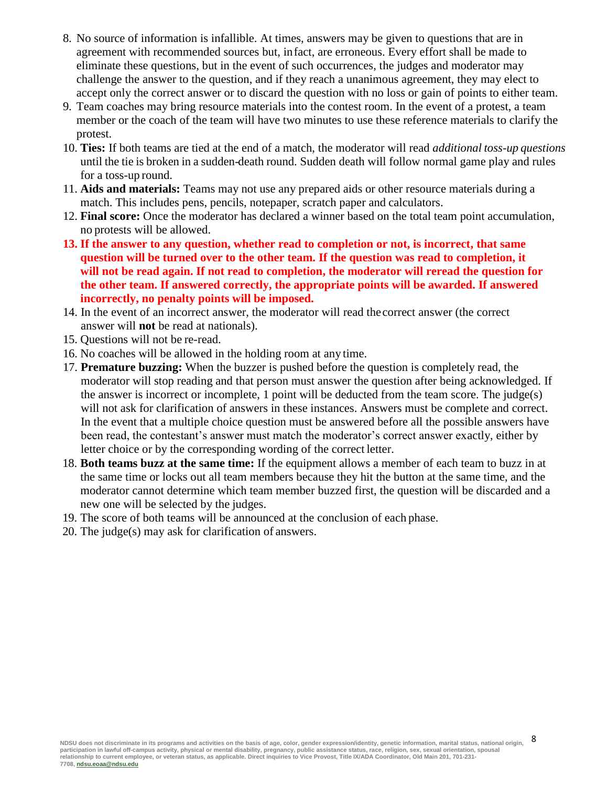- 8. No source of information is infallible. At times, answers may be given to questions that are in agreement with recommended sources but, infact, are erroneous. Every effort shall be made to eliminate these questions, but in the event of such occurrences, the judges and moderator may challenge the answer to the question, and if they reach a unanimous agreement, they may elect to accept only the correct answer or to discard the question with no loss or gain of points to either team.
- 9. Team coaches may bring resource materials into the contest room. In the event of a protest, a team member or the coach of the team will have two minutes to use these reference materials to clarify the protest.
- 10. **Ties:** If both teams are tied at the end of a match, the moderator will read *additional toss-up questions* until the tie is broken in a sudden-death round. Sudden death will follow normal game play and rules for a toss-up round.
- 11. **Aids and materials:** Teams may not use any prepared aids or other resource materials during a match. This includes pens, pencils, notepaper, scratch paper and calculators.
- 12. **Final score:** Once the moderator has declared a winner based on the total team point accumulation, no protests will be allowed.
- **13. If the answer to any question, whether read to completion or not, is incorrect, that same question will be turned over to the other team. If the question was read to completion, it will not be read again. If not read to completion, the moderator will reread the question for the other team. If answered correctly, the appropriate points will be awarded. If answered incorrectly, no penalty points will be imposed.**
- 14. In the event of an incorrect answer, the moderator will read thecorrect answer (the correct answer will **not** be read at nationals).
- 15. Questions will not be re-read.
- 16. No coaches will be allowed in the holding room at any time.
- 17. **Premature buzzing:** When the buzzer is pushed before the question is completely read, the moderator will stop reading and that person must answer the question after being acknowledged. If the answer is incorrect or incomplete, 1 point will be deducted from the team score. The judge(s) will not ask for clarification of answers in these instances. Answers must be complete and correct. In the event that a multiple choice question must be answered before all the possible answers have been read, the contestant's answer must match the moderator's correct answer exactly, either by letter choice or by the corresponding wording of the correct letter.
- 18. **Both teams buzz at the same time:** If the equipment allows a member of each team to buzz in at the same time or locks out all team members because they hit the button at the same time, and the moderator cannot determine which team member buzzed first, the question will be discarded and a new one will be selected by the judges.
- 19. The score of both teams will be announced at the conclusion of each phase.
- 20. The judge(s) may ask for clarification of answers.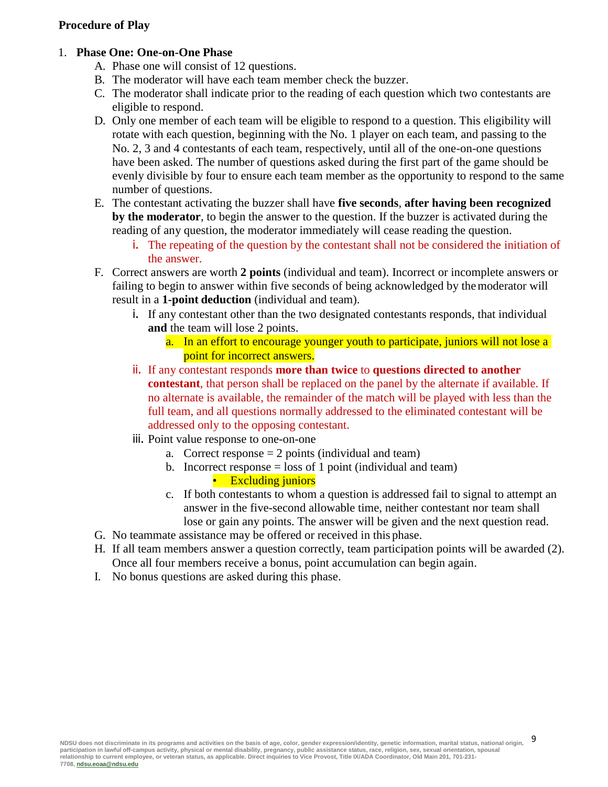## **Procedure of Play**

#### 1. **Phase One: One-on-One Phase**

- A. Phase one will consist of 12 questions.
- B. The moderator will have each team member check the buzzer.
- C. The moderator shall indicate prior to the reading of each question which two contestants are eligible to respond.
- D. Only one member of each team will be eligible to respond to a question. This eligibility will rotate with each question, beginning with the No. 1 player on each team, and passing to the No. 2, 3 and 4 contestants of each team, respectively, until all of the one-on-one questions have been asked. The number of questions asked during the first part of the game should be evenly divisible by four to ensure each team member as the opportunity to respond to the same number of questions.
- E. The contestant activating the buzzer shall have **five seconds**, **after having been recognized by the moderator**, to begin the answer to the question. If the buzzer is activated during the reading of any question, the moderator immediately will cease reading the question.
	- i. The repeating of the question by the contestant shall not be considered the initiation of the answer.
- F. Correct answers are worth **2 points** (individual and team). Incorrect or incomplete answers or failing to begin to answer within five seconds of being acknowledged by themoderator will result in a **1-point deduction** (individual and team).
	- i. If any contestant other than the two designated contestants responds, that individual **and** the team will lose 2 points.
		- a. In an effort to encourage younger youth to participate, juniors will not lose a point for incorrect answers.
	- ii. If any contestant responds **more than twice** to **questions directed to another contestant**, that person shall be replaced on the panel by the alternate if available. If no alternate is available, the remainder of the match will be played with less than the full team, and all questions normally addressed to the eliminated contestant will be addressed only to the opposing contestant.
	- iii. Point value response to one-on-one
		- a. Correct response  $= 2$  points (individual and team)
		- b. Incorrect response  $=$  loss of 1 point (individual and team)
			- Excluding juniors
		- c. If both contestants to whom a question is addressed fail to signal to attempt an answer in the five-second allowable time, neither contestant nor team shall lose or gain any points. The answer will be given and the next question read.
- G. No teammate assistance may be offered or received in this phase.
- H. If all team members answer a question correctly, team participation points will be awarded (2). Once all four members receive a bonus, point accumulation can begin again.
- I. No bonus questions are asked during this phase.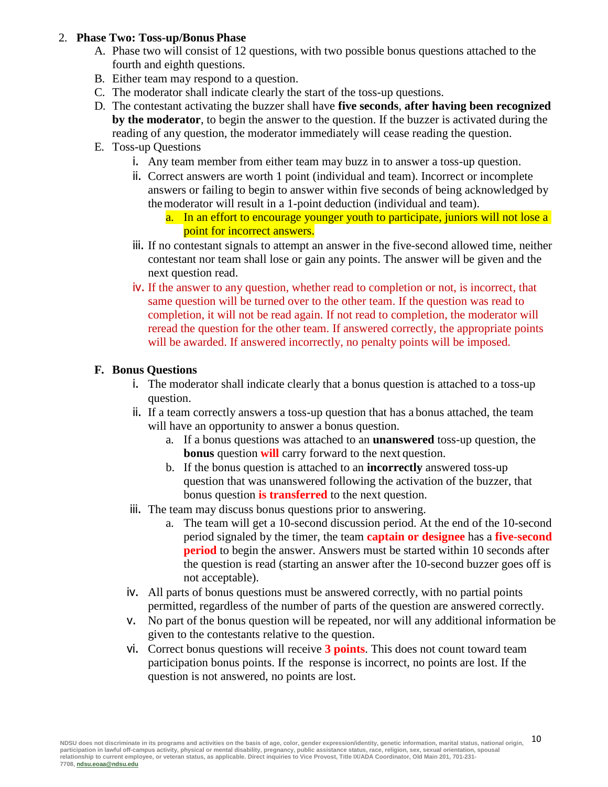### 2. **Phase Two: Toss-up/Bonus Phase**

- A. Phase two will consist of 12 questions, with two possible bonus questions attached to the fourth and eighth questions.
- B. Either team may respond to a question.
- C. The moderator shall indicate clearly the start of the toss-up questions.
- D. The contestant activating the buzzer shall have **five seconds**, **after having been recognized by the moderator**, to begin the answer to the question. If the buzzer is activated during the reading of any question, the moderator immediately will cease reading the question.
- E. Toss-up Questions
	- i. Any team member from either team may buzz in to answer a toss-up question.
	- ii. Correct answers are worth 1 point (individual and team). Incorrect or incomplete answers or failing to begin to answer within five seconds of being acknowledged by themoderator will result in a 1-point deduction (individual and team).
		- a. In an effort to encourage younger youth to participate, juniors will not lose a point for incorrect answers.
	- iii. If no contestant signals to attempt an answer in the five-second allowed time, neither contestant nor team shall lose or gain any points. The answer will be given and the next question read.
	- iv. If the answer to any question, whether read to completion or not, is incorrect, that same question will be turned over to the other team. If the question was read to completion, it will not be read again. If not read to completion, the moderator will reread the question for the other team. If answered correctly, the appropriate points will be awarded. If answered incorrectly, no penalty points will be imposed.

# **F. Bonus Questions**

- i. The moderator shall indicate clearly that a bonus question is attached to a toss-up question.
- ii. If a team correctly answers a toss-up question that has a bonus attached, the team will have an opportunity to answer a bonus question.
	- a. If a bonus questions was attached to an **unanswered** toss-up question, the **bonus** question **will** carry forward to the next question.
	- b. If the bonus question is attached to an **incorrectly** answered toss-up question that was unanswered following the activation of the buzzer, that bonus question **is transferred** to the next question.
- iii. The team may discuss bonus questions prior to answering.
	- a. The team will get a 10-second discussion period. At the end of the 10-second period signaled by the timer, the team **captain or designee** has a **five-second period** to begin the answer. Answers must be started within 10 seconds after the question is read (starting an answer after the 10-second buzzer goes off is not acceptable).
- iv. All parts of bonus questions must be answered correctly, with no partial points permitted, regardless of the number of parts of the question are answered correctly.
- v. No part of the bonus question will be repeated, nor will any additional information be given to the contestants relative to the question.
- vi. Correct bonus questions will receive **3 points**. This does not count toward team participation bonus points. If the response is incorrect, no points are lost. If the question is not answered, no points are lost.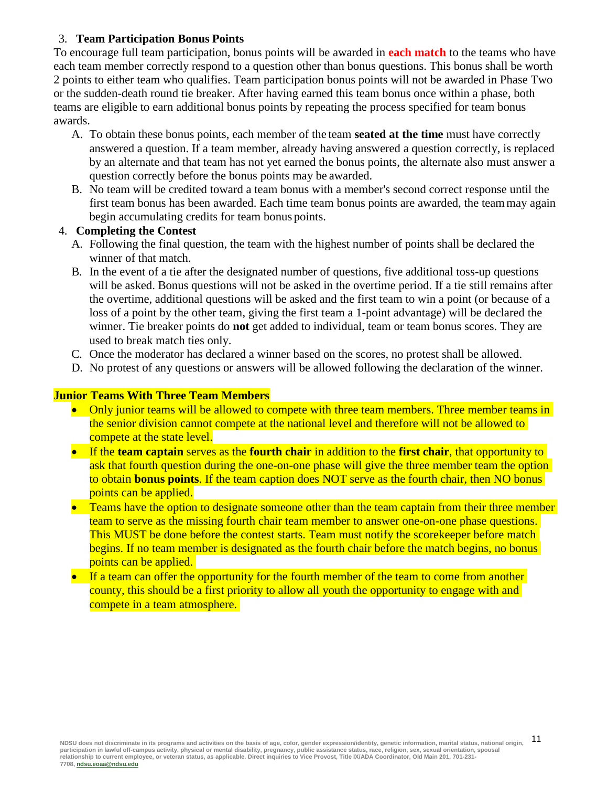# 3. **Team Participation Bonus Points**

To encourage full team participation, bonus points will be awarded in **each match** to the teams who have each team member correctly respond to a question other than bonus questions. This bonus shall be worth 2 points to either team who qualifies. Team participation bonus points will not be awarded in Phase Two or the sudden-death round tie breaker. After having earned this team bonus once within a phase, both teams are eligible to earn additional bonus points by repeating the process specified for team bonus awards.

- A. To obtain these bonus points, each member of the team **seated at the time** must have correctly answered a question. If a team member, already having answered a question correctly, is replaced by an alternate and that team has not yet earned the bonus points, the alternate also must answer a question correctly before the bonus points may be awarded.
- B. No team will be credited toward a team bonus with a member's second correct response until the first team bonus has been awarded. Each time team bonus points are awarded, the teammay again begin accumulating credits for team bonus points.

# 4. **Completing the Contest**

- A. Following the final question, the team with the highest number of points shall be declared the winner of that match.
- B. In the event of a tie after the designated number of questions, five additional toss-up questions will be asked. Bonus questions will not be asked in the overtime period. If a tie still remains after the overtime, additional questions will be asked and the first team to win a point (or because of a loss of a point by the other team, giving the first team a 1-point advantage) will be declared the winner. Tie breaker points do **not** get added to individual, team or team bonus scores. They are used to break match ties only.
- C. Once the moderator has declared a winner based on the scores, no protest shall be allowed.
- D. No protest of any questions or answers will be allowed following the declaration of the winner.

## **Junior Teams With Three Team Members**

- Only junior teams will be allowed to compete with three team members. Three member teams in the senior division cannot compete at the national level and therefore will not be allowed to compete at the state level.
- If the **team captain** serves as the **fourth chair** in addition to the **first chair**, that opportunity to ask that fourth question during the one-on-one phase will give the three member team the option to obtain **bonus points**. If the team caption does NOT serve as the fourth chair, then NO bonus points can be applied.
- Teams have the option to designate someone other than the team captain from their three member team to serve as the missing fourth chair team member to answer one-on-one phase questions. This MUST be done before the contest starts. Team must notify the scorekeeper before match begins. If no team member is designated as the fourth chair before the match begins, no bonus points can be applied.
- If a team can offer the opportunity for the fourth member of the team to come from another county, this should be a first priority to allow all youth the opportunity to engage with and compete in a team atmosphere.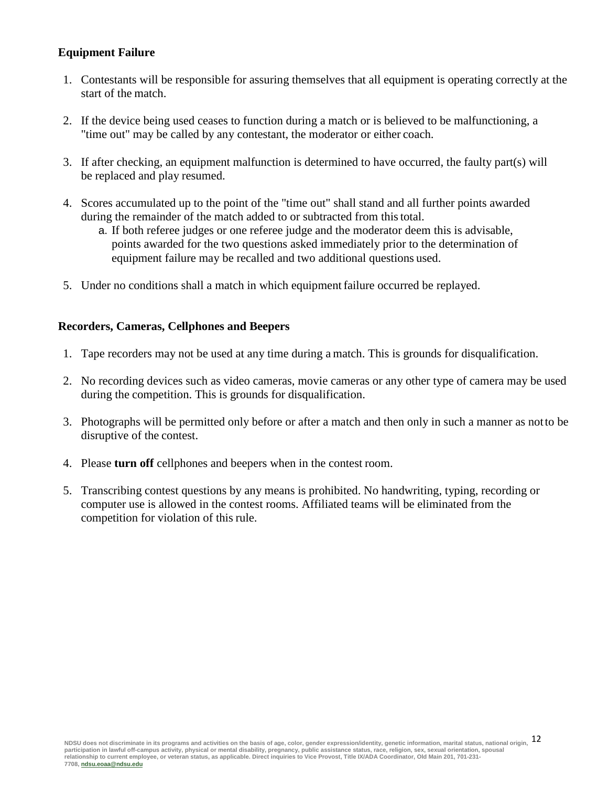# **Equipment Failure**

- 1. Contestants will be responsible for assuring themselves that all equipment is operating correctly at the start of the match.
- 2. If the device being used ceases to function during a match or is believed to be malfunctioning, a "time out" may be called by any contestant, the moderator or either coach.
- 3. If after checking, an equipment malfunction is determined to have occurred, the faulty part(s) will be replaced and play resumed.
- 4. Scores accumulated up to the point of the "time out" shall stand and all further points awarded during the remainder of the match added to or subtracted from this total.
	- a. If both referee judges or one referee judge and the moderator deem this is advisable, points awarded for the two questions asked immediately prior to the determination of equipment failure may be recalled and two additional questions used.
- 5. Under no conditions shall a match in which equipmentfailure occurred be replayed.

#### **Recorders, Cameras, Cellphones and Beepers**

- 1. Tape recorders may not be used at any time during a match. This is grounds for disqualification.
- 2. No recording devices such as video cameras, movie cameras or any other type of camera may be used during the competition. This is grounds for disqualification.
- 3. Photographs will be permitted only before or after a match and then only in such a manner as notto be disruptive of the contest.
- 4. Please **turn off** cellphones and beepers when in the contest room.
- 5. Transcribing contest questions by any means is prohibited. No handwriting, typing, recording or computer use is allowed in the contest rooms. Affiliated teams will be eliminated from the competition for violation of this rule.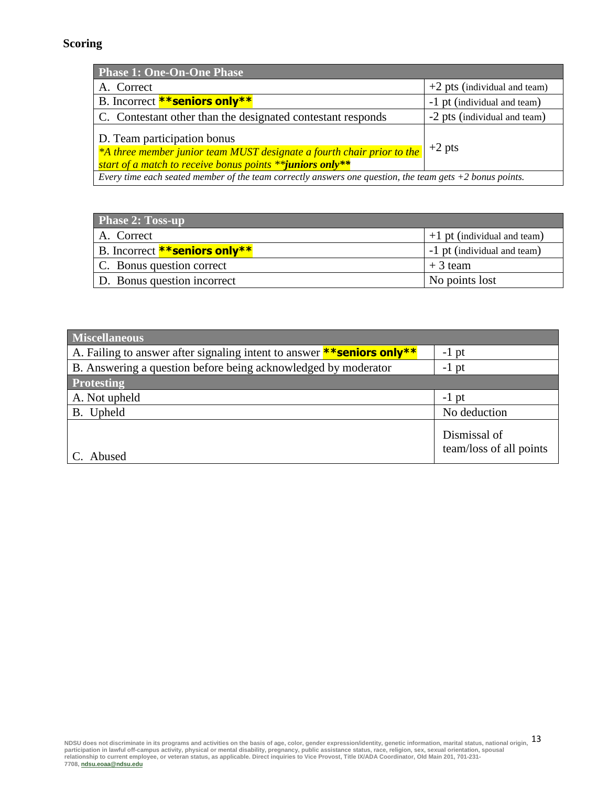# **Scoring**

| <b>Phase 1: One-On-One Phase</b>                                                                                                                                   |                                |  |
|--------------------------------------------------------------------------------------------------------------------------------------------------------------------|--------------------------------|--|
| A. Correct                                                                                                                                                         | $+2$ pts (individual and team) |  |
| B. Incorrect <b>**seniors only**</b>                                                                                                                               | -1 pt (individual and team)    |  |
| C. Contestant other than the designated contestant responds                                                                                                        | -2 pts (individual and team)   |  |
| D. Team participation bonus<br>*A three member junior team MUST designate a fourth chair prior to the<br>start of a match to receive bonus points **juniors only** | $+2$ pts                       |  |
| Every time each seated member of the team correctly answers one question, the team gets $+2$ bonus points.                                                         |                                |  |

| <b>Phase 2: Toss-up</b>              |                               |
|--------------------------------------|-------------------------------|
| A. Correct                           | $+1$ pt (individual and team) |
| B. Incorrect <b>**seniors only**</b> | -1 pt (individual and team)   |
| C. Bonus question correct            | $+3$ team                     |
| D. Bonus question incorrect          | No points lost                |

| <b>Miscellaneous</b>                                                          |                                         |  |
|-------------------------------------------------------------------------------|-----------------------------------------|--|
| A. Failing to answer after signaling intent to answer <b>**seniors only**</b> | $-1$ pt                                 |  |
| B. Answering a question before being acknowledged by moderator                | $-1$ pt                                 |  |
| <b>Protesting</b>                                                             |                                         |  |
| A. Not upheld                                                                 | $-1$ pt                                 |  |
| B. Upheld                                                                     | No deduction                            |  |
| C. Abused                                                                     | Dismissal of<br>team/loss of all points |  |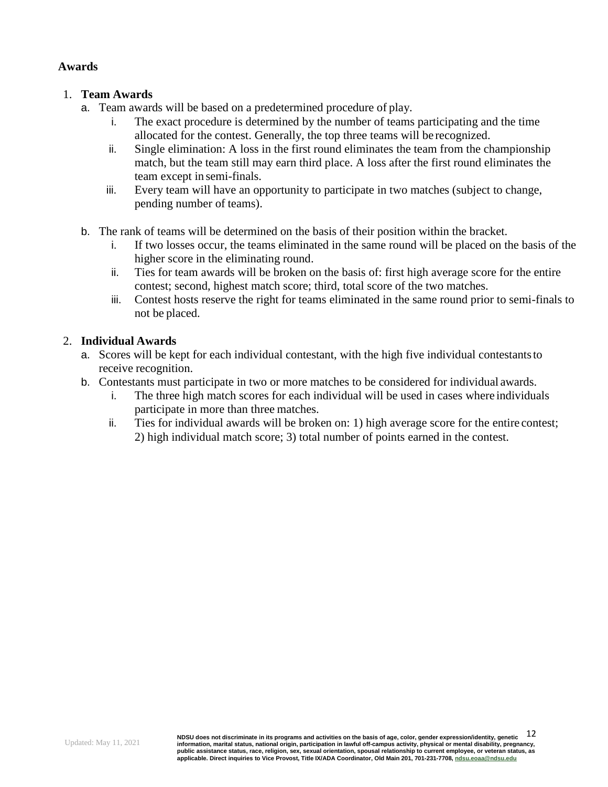## **Awards**

## 1. **Team Awards**

- a. Team awards will be based on a predetermined procedure of play.
	- i. The exact procedure is determined by the number of teams participating and the time allocated for the contest. Generally, the top three teams will be recognized.
	- ii. Single elimination: A loss in the first round eliminates the team from the championship match, but the team still may earn third place. A loss after the first round eliminates the team except in semi-finals.
	- iii. Every team will have an opportunity to participate in two matches (subject to change, pending number of teams).
- b. The rank of teams will be determined on the basis of their position within the bracket.
	- i. If two losses occur, the teams eliminated in the same round will be placed on the basis of the higher score in the eliminating round.
	- ii. Ties for team awards will be broken on the basis of: first high average score for the entire contest; second, highest match score; third, total score of the two matches.
	- iii. Contest hosts reserve the right for teams eliminated in the same round prior to semi-finals to not be placed.

## 2. **Individual Awards**

- a. Scores will be kept for each individual contestant, with the high five individual contestantsto receive recognition.
- b. Contestants must participate in two or more matches to be considered for individual awards.
	- i. The three high match scores for each individual will be used in cases where individuals participate in more than three matches.
	- ii. Ties for individual awards will be broken on: 1) high average score for the entire contest; 2) high individual match score; 3) total number of points earned in the contest.